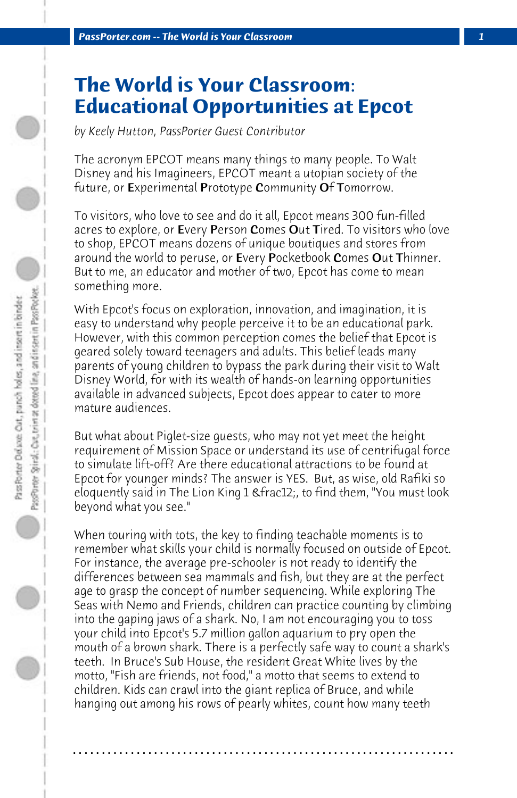## **The World is Your Classroom: Educational Opportunities at Epcot**

*by Keely Hutton, PassPorter Guest Contributor*

The acronym EPCOT means many things to many people. To Walt Disney and his Imagineers, EPCOT meant a utopian society of the future, or Experimental Prototype Community Of Tomorrow.

To visitors, who love to see and do it all, Epcot means 300 fun-filled acres to explore, or Every Person Comes Out Tired. To visitors who love to shop, EPCOT means dozens of unique boutiques and stores from around the world to peruse, or Every Pocketbook Comes Out Thinner. But to me, an educator and mother of two, Epcot has come to mean something more.

With Epcot's focus on exploration, innovation, and imagination, it is easy to understand why people perceive it to be an educational park. However, with this common perception comes the belief that Epcot is geared solely toward teenagers and adults. This belief leads many parents of young children to bypass the park during their visit to Walt Disney World, for with its wealth of hands-on learning opportunities available in advanced subjects, Epcot does appear to cater to more mature audiences.

But what about Piglet-size guests, who may not yet meet the height requirement of Mission Space or understand its use of centrifugal force to simulate lift-off? Are there educational attractions to be found at Epcot for younger minds? The answer is YES. But, as wise, old Rafiki so eloquently said in The Lion King 1 & frac12;, to find them, "You must look beyond what you see."

When touring with tots, the key to finding teachable moments is to remember what skills your child is normally focused on outside of Epcot. For instance, the average pre-schooler is not ready to identify the differences between sea mammals and fish, but they are at the perfect age to grasp the concept of number sequencing. While exploring The Seas with Nemo and Friends, children can practice counting by climbing into the gaping jaws of a shark. No, I am not encouraging you to toss your child into Epcot's 5.7 million gallon aquarium to pry open the mouth of a brown shark. There is a perfectly safe way to count a shark's teeth. In Bruce's Sub House, the resident Great White lives by the motto, "Fish are friends, not food," a motto that seems to extend to children. Kids can crawl into the giant replica of Bruce, and while hanging out among his rows of pearly whites, count how many teeth

**. . . . . . . . . . . . . . . . . . . . . . . . . . . . . . . . . . . . . . . . . . . . . . . . . . . . . . . . . . . . . . . . . .**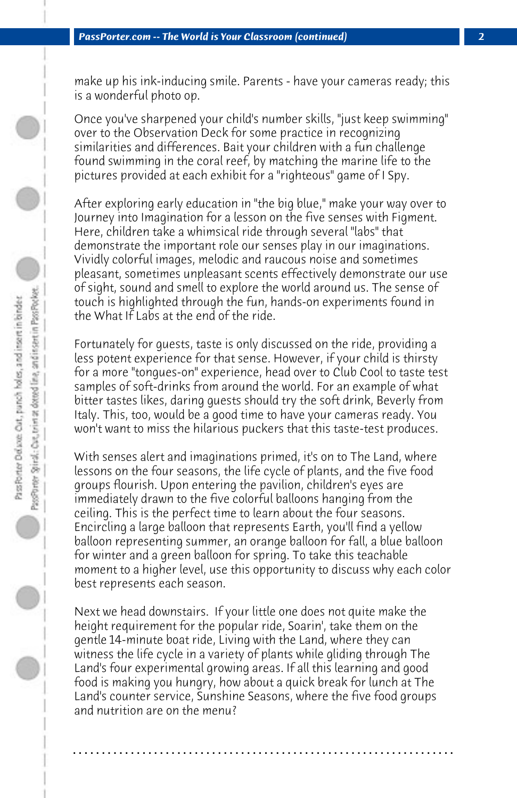make up his ink-inducing smile. Parents - have your cameras ready; this is a wonderful photo op.

Once you've sharpened your child's number skills, "just keep swimming" over to the Observation Deck for some practice in recognizing similarities and differences. Bait your children with a fun challenge found swimming in the coral reef, by matching the marine life to the pictures provided at each exhibit for a "righteous" game of I Spy.

After exploring early education in "the big blue," make your way over to Journey into Imagination for a lesson on the five senses with Figment. Here, children take a whimsical ride through several "labs" that demonstrate the important role our senses play in our imaginations. Vividly colorful images, melodic and raucous noise and sometimes pleasant, sometimes unpleasant scents effectively demonstrate our use of sight, sound and smell to explore the world around us. The sense of touch is highlighted through the fun, hands-on experiments found in the What If Labs at the end of the ride.

Fortunately for guests, taste is only discussed on the ride, providing a less potent experience for that sense. However, if your child is thirsty for a more "tongues-on" experience, head over to Club Cool to taste test samples of soft-drinks from around the world. For an example of what bitter tastes likes, daring guests should try the soft drink, Beverly from Italy. This, too, would be a good time to have your cameras ready. You won't want to miss the hilarious puckers that this taste-test produces.

With senses alert and imaginations primed, it's on to The Land, where lessons on the four seasons, the life cycle of plants, and the five food groups flourish. Upon entering the pavilion, children's eyes are immediately drawn to the five colorful balloons hanging from the ceiling. This is the perfect time to learn about the four seasons. Encircling a large balloon that represents Earth, you'll find a yellow balloon representing summer, an orange balloon for fall, a blue balloon for winter and a green balloon for spring. To take this teachable moment to a higher level, use this opportunity to discuss why each color best represents each season.

Next we head downstairs. If your little one does not quite make the height requirement for the popular ride, Soarin', take them on the gentle 14-minute boat ride, Living with the Land, where they can witness the life cycle in a variety of plants while gliding through The Land's four experimental growing areas. If all this learning and good food is making you hungry, how about a quick break for lunch at The Land's counter service, Sunshine Seasons, where the five food groups and nutrition are on the menu?

**. . . . . . . . . . . . . . . . . . . . . . . . . . . . . . . . . . . . . . . . . . . . . . . . . . . . . . . . . . . . . . . . . .**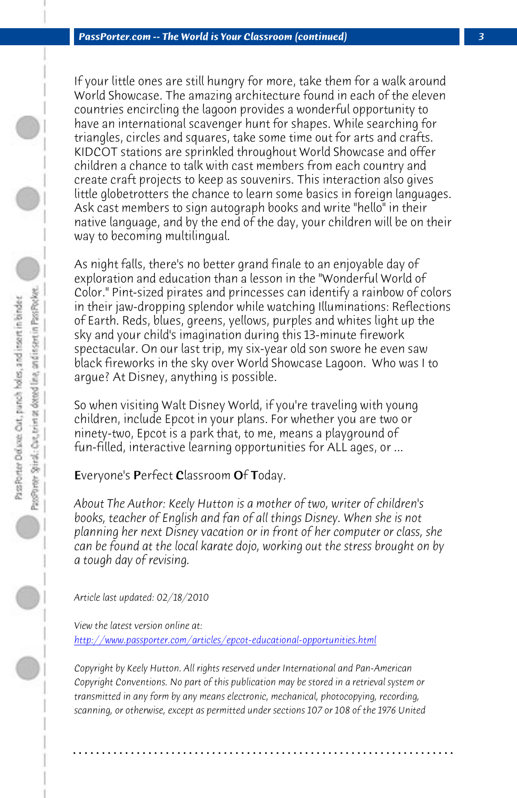*PassPorter.com -- The World is Your Classroom (continued) 3*

If your little ones are still hungry for more, take them for a walk around World Showcase. The amazing architecture found in each of the eleven countries encircling the lagoon provides a wonderful opportunity to have an international scavenger hunt for shapes. While searching for triangles, circles and squares, take some time out for arts and crafts. KIDCOT stations are sprinkled throughout World Showcase and offer children a chance to talk with cast members from each country and create craft projects to keep as souvenirs. This interaction also gives little globetrotters the chance to learn some basics in foreign languages. Ask cast members to sign autograph books and write "hello" in their native language, and by the end of the day, your children will be on their way to becoming multilingual.

As night falls, there's no better grand finale to an enjoyable day of exploration and education than a lesson in the "Wonderful World of Color." Pint-sized pirates and princesses can identify a rainbow of colors in their jaw-dropping splendor while watching Illuminations: Reflections of Earth. Reds, blues, greens, yellows, purples and whites light up the sky and your child's imagination during this 13-minute firework spectacular. On our last trip, my six-year old son swore he even saw black fireworks in the sky over World Showcase Lagoon. Who was I to argue? At Disney, anything is possible.

[So when visiting Walt Disney World, if you're traveling wit](http://www.passporter.com/articles/epcot-educational-opportunities.php)h young children, include Epcot in your plans. For whether you are two or ninety-two, Epcot is a park that, to me, means a playground of fun-filled, interactive learning opportunities for ALL ages, or ...

Everyone's Perfect Classroom Of Today.

*About The Author: Keely Hutton is a mother of two, writer of children's books, teacher of English and fan of all things Disney. When she is not planning her next Disney vacation or in front of her computer or class, she can be found at the local karate dojo, working out the stress brought on by a tough day of revising.*

*Article last updated: 02/18/2010*

*View the latest version online at: http://www.passporter.com/articles/epcot-educational-opportunities.html*

*Copyright by Keely Hutton. All rights reserved under International and Pan-American Copyright Conventions. No part of this publication may be stored in a retrieval system or transmitted in any form by any means electronic, mechanical, photocopying, recording, scanning, or otherwise, except as permitted under sections 107 or 108 of the 1976 United*

**. . . . . . . . . . . . . . . . . . . . . . . . . . . . . . . . . . . . . . . . . . . . . . . . . . . . . . . . . . . . . . . . . .**